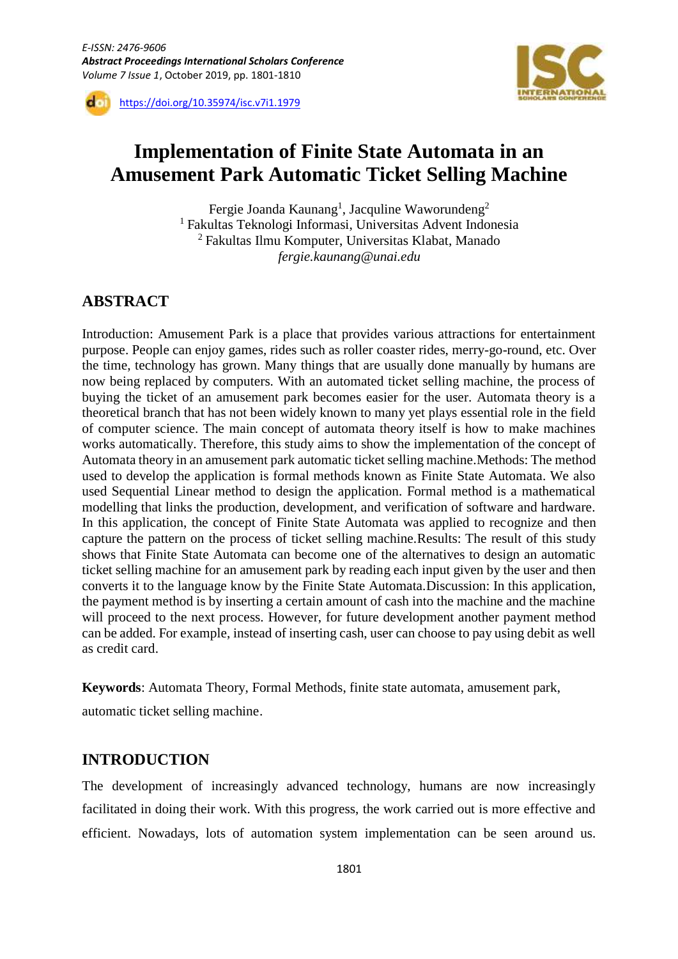

https://doi.org/10.35974/isc.v7i1.1979

# **Implementation of Finite State Automata in an Amusement Park Automatic Ticket Selling Machine**

Fergie Joanda Kaunang<sup>1</sup>, Jacquline Waworundeng<sup>2</sup> <sup>1</sup> Fakultas Teknologi Informasi, Universitas Advent Indonesia <sup>2</sup> Fakultas Ilmu Komputer, Universitas Klabat, Manado *fergie.kaunang@unai.edu*

# **ABSTRACT**

Introduction: Amusement Park is a place that provides various attractions for entertainment purpose. People can enjoy games, rides such as roller coaster rides, merry-go-round, etc. Over the time, technology has grown. Many things that are usually done manually by humans are now being replaced by computers. With an automated ticket selling machine, the process of buying the ticket of an amusement park becomes easier for the user. Automata theory is a theoretical branch that has not been widely known to many yet plays essential role in the field of computer science. The main concept of automata theory itself is how to make machines works automatically. Therefore, this study aims to show the implementation of the concept of Automata theory in an amusement park automatic ticket selling machine.Methods: The method used to develop the application is formal methods known as Finite State Automata. We also used Sequential Linear method to design the application. Formal method is a mathematical modelling that links the production, development, and verification of software and hardware. In this application, the concept of Finite State Automata was applied to recognize and then capture the pattern on the process of ticket selling machine.Results: The result of this study shows that Finite State Automata can become one of the alternatives to design an automatic ticket selling machine for an amusement park by reading each input given by the user and then converts it to the language know by the Finite State Automata.Discussion: In this application, the payment method is by inserting a certain amount of cash into the machine and the machine will proceed to the next process. However, for future development another payment method can be added. For example, instead of inserting cash, user can choose to pay using debit as well as credit card.

**Keywords**: Automata Theory, Formal Methods, finite state automata, amusement park,

automatic ticket selling machine.

# **INTRODUCTION**

The development of increasingly advanced technology, humans are now increasingly facilitated in doing their work. With this progress, the work carried out is more effective and efficient. Nowadays, lots of automation system implementation can be seen around us.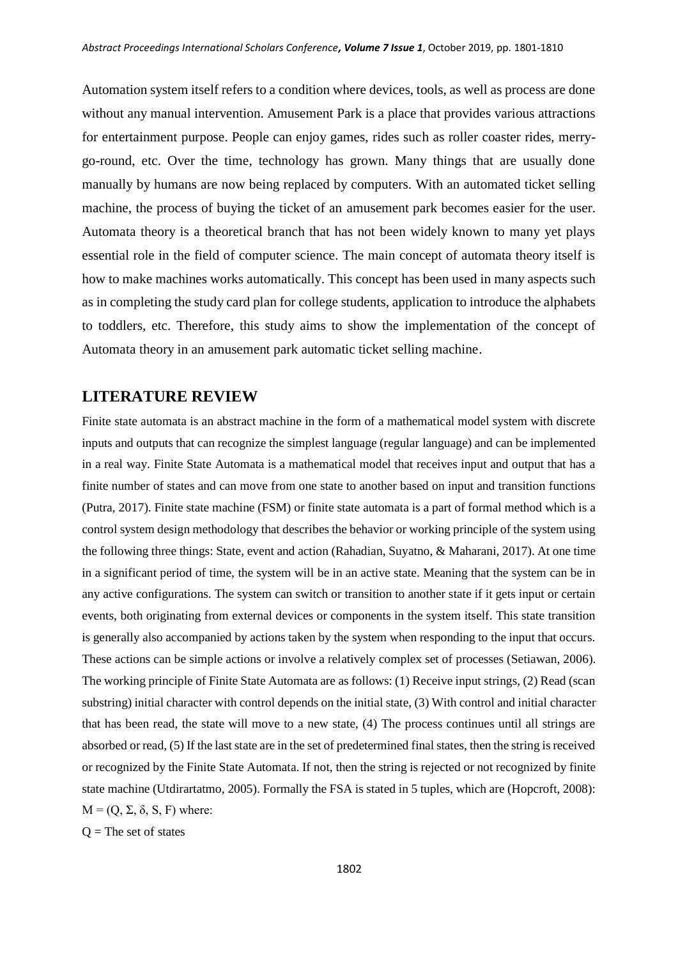Automation system itself refers to a condition where devices, tools, as well as process are done without any manual intervention. Amusement Park is a place that provides various attractions for entertainment purpose. People can enjoy games, rides such as roller coaster rides, merrygo-round, etc. Over the time, technology has grown. Many things that are usually done manually by humans are now being replaced by computers. With an automated ticket selling machine, the process of buying the ticket of an amusement park becomes easier for the user. Automata theory is a theoretical branch that has not been widely known to many yet plays essential role in the field of computer science. The main concept of automata theory itself is how to make machines works automatically. This concept has been used in many aspects such as in completing the study card plan for college students, application to introduce the alphabets to toddlers, etc. Therefore, this study aims to show the implementation of the concept of Automata theory in an amusement park automatic ticket selling machine.

### **LITERATURE REVIEW**

Finite state automata is an abstract machine in the form of a mathematical model system with discrete inputs and outputs that can recognize the simplest language (regular language) and can be implemented in a real way. Finite State Automata is a mathematical model that receives input and output that has a finite number of states and can move from one state to another based on input and transition functions (Putra, 2017). Finite state machine (FSM) or finite state automata is a part of formal method which is a control system design methodology that describes the behavior or working principle of the system using the following three things: State, event and action (Rahadian, Suyatno, & Maharani, 2017). At one time in a significant period of time, the system will be in an active state. Meaning that the system can be in any active configurations. The system can switch or transition to another state if it gets input or certain events, both originating from external devices or components in the system itself. This state transition is generally also accompanied by actions taken by the system when responding to the input that occurs. These actions can be simple actions or involve a relatively complex set of processes (Setiawan, 2006). The working principle of Finite State Automata are as follows: (1) Receive input strings, (2) Read (scan substring) initial character with control depends on the initial state, (3) With control and initial character that has been read, the state will move to a new state, (4) The process continues until all strings are absorbed or read, (5) If the last state are in the set of predetermined final states, then the string is received or recognized by the Finite State Automata. If not, then the string is rejected or not recognized by finite state machine (Utdirartatmo, 2005). Formally the FSA is stated in 5 tuples, which are (Hopcroft, 2008):  $M = (Q, \Sigma, \delta, S, F)$  where:

 $Q =$ The set of states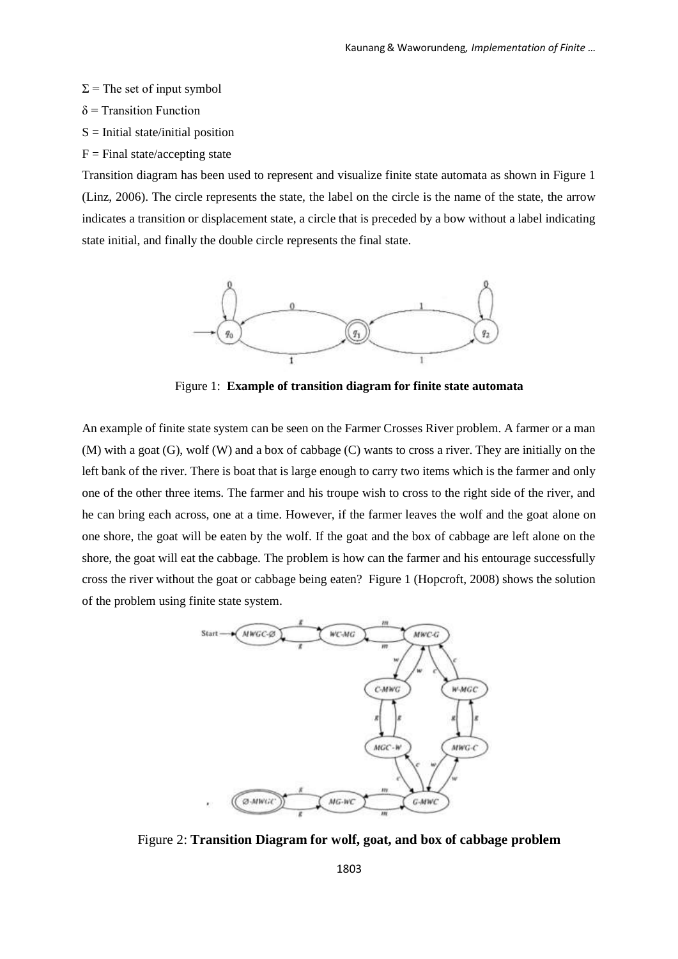- $\Sigma$  = The set of input symbol
- $\delta$  = Transition Function
- $S =$  Initial state/initial position
- $F =$ Final state/accepting state

Transition diagram has been used to represent and visualize finite state automata as shown in Figure 1 (Linz, 2006). The circle represents the state, the label on the circle is the name of the state, the arrow indicates a transition or displacement state, a circle that is preceded by a bow without a label indicating state initial, and finally the double circle represents the final state.



Figure 1: **Example of transition diagram for finite state automata**

An example of finite state system can be seen on the Farmer Crosses River problem. A farmer or a man (M) with a goat (G), wolf (W) and a box of cabbage (C) wants to cross a river. They are initially on the left bank of the river. There is boat that is large enough to carry two items which is the farmer and only one of the other three items. The farmer and his troupe wish to cross to the right side of the river, and he can bring each across, one at a time. However, if the farmer leaves the wolf and the goat alone on one shore, the goat will be eaten by the wolf. If the goat and the box of cabbage are left alone on the shore, the goat will eat the cabbage. The problem is how can the farmer and his entourage successfully cross the river without the goat or cabbage being eaten? Figure 1 (Hopcroft, 2008) shows the solution of the problem using finite state system.



Figure 2: **Transition Diagram for wolf, goat, and box of cabbage problem**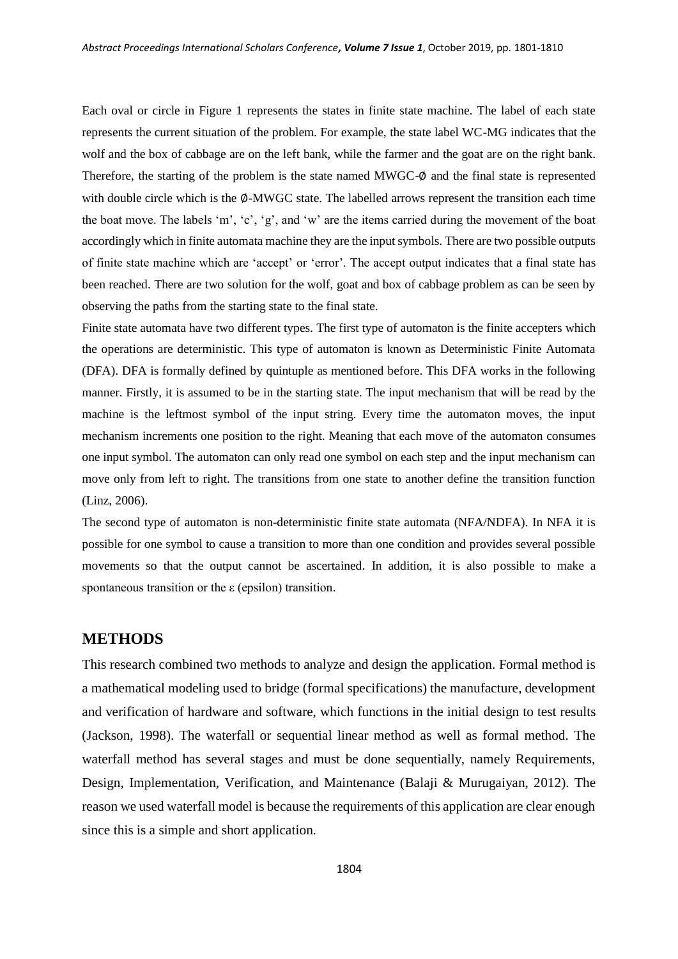Each oval or circle in Figure 1 represents the states in finite state machine. The label of each state represents the current situation of the problem. For example, the state label WC-MG indicates that the wolf and the box of cabbage are on the left bank, while the farmer and the goat are on the right bank. Therefore, the starting of the problem is the state named MWGC- $\phi$  and the final state is represented with double circle which is the ∅-MWGC state. The labelled arrows represent the transition each time the boat move. The labels 'm', 'c', 'g', and 'w' are the items carried during the movement of the boat accordingly which in finite automata machine they are the input symbols. There are two possible outputs of finite state machine which are 'accept' or 'error'. The accept output indicates that a final state has been reached. There are two solution for the wolf, goat and box of cabbage problem as can be seen by observing the paths from the starting state to the final state.

Finite state automata have two different types. The first type of automaton is the finite accepters which the operations are deterministic. This type of automaton is known as Deterministic Finite Automata (DFA). DFA is formally defined by quintuple as mentioned before. This DFA works in the following manner. Firstly, it is assumed to be in the starting state. The input mechanism that will be read by the machine is the leftmost symbol of the input string. Every time the automaton moves, the input mechanism increments one position to the right. Meaning that each move of the automaton consumes one input symbol. The automaton can only read one symbol on each step and the input mechanism can move only from left to right. The transitions from one state to another define the transition function (Linz, 2006).

The second type of automaton is non-deterministic finite state automata (NFA/NDFA). In NFA it is possible for one symbol to cause a transition to more than one condition and provides several possible movements so that the output cannot be ascertained. In addition, it is also possible to make a spontaneous transition or the ε (epsilon) transition.

#### **METHODS**

This research combined two methods to analyze and design the application. Formal method is a mathematical modeling used to bridge (formal specifications) the manufacture, development and verification of hardware and software, which functions in the initial design to test results (Jackson, 1998). The waterfall or sequential linear method as well as formal method. The waterfall method has several stages and must be done sequentially, namely Requirements, Design, Implementation, Verification, and Maintenance (Balaji & Murugaiyan, 2012). The reason we used waterfall model is because the requirements of this application are clear enough since this is a simple and short application.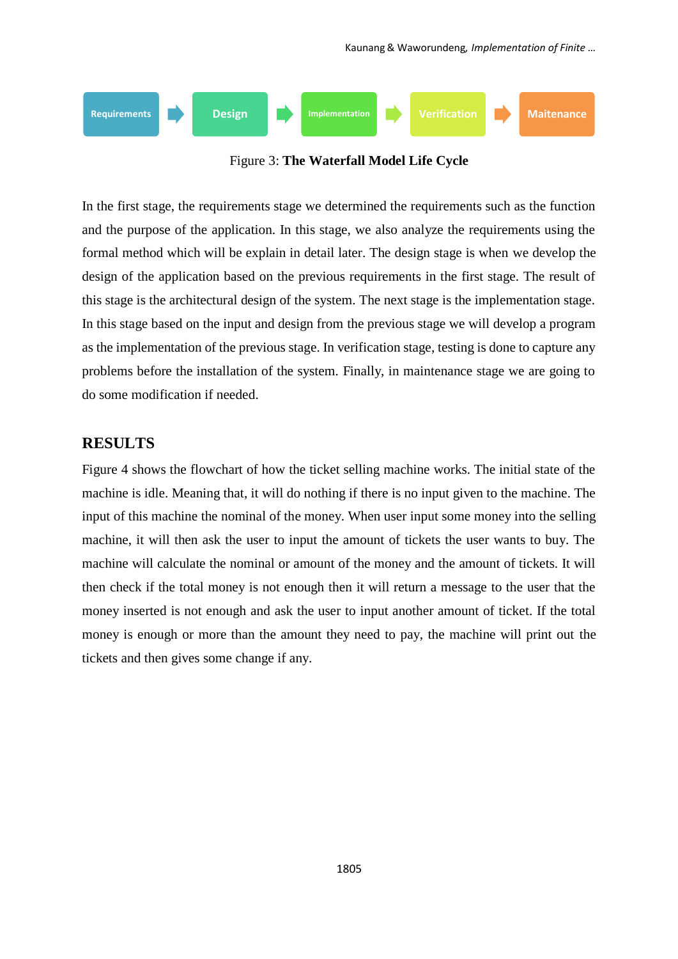

Figure 3: **The Waterfall Model Life Cycle**

In the first stage, the requirements stage we determined the requirements such as the function and the purpose of the application. In this stage, we also analyze the requirements using the formal method which will be explain in detail later. The design stage is when we develop the design of the application based on the previous requirements in the first stage. The result of this stage is the architectural design of the system. The next stage is the implementation stage. In this stage based on the input and design from the previous stage we will develop a program as the implementation of the previous stage. In verification stage, testing is done to capture any problems before the installation of the system. Finally, in maintenance stage we are going to do some modification if needed.

## **RESULTS**

Figure 4 shows the flowchart of how the ticket selling machine works. The initial state of the machine is idle. Meaning that, it will do nothing if there is no input given to the machine. The input of this machine the nominal of the money. When user input some money into the selling machine, it will then ask the user to input the amount of tickets the user wants to buy. The machine will calculate the nominal or amount of the money and the amount of tickets. It will then check if the total money is not enough then it will return a message to the user that the money inserted is not enough and ask the user to input another amount of ticket. If the total money is enough or more than the amount they need to pay, the machine will print out the tickets and then gives some change if any.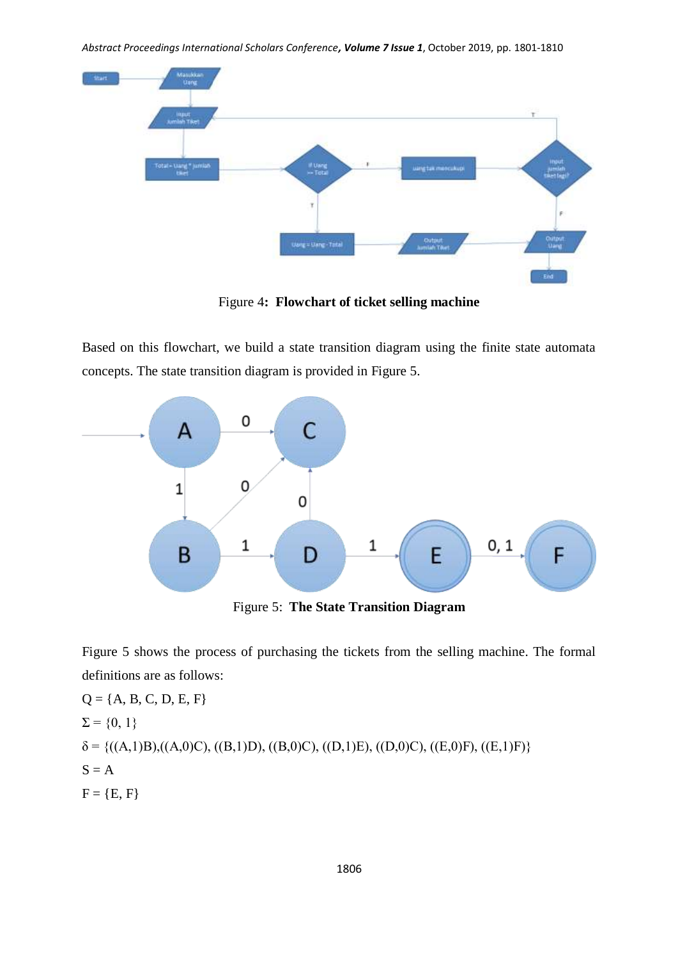*Abstract Proceedings International Scholars Conference, Volume 7 Issue 1*, October 2019, pp. 1801-1810



Figure 4**: Flowchart of ticket selling machine**

Based on this flowchart, we build a state transition diagram using the finite state automata concepts. The state transition diagram is provided in Figure 5.



Figure 5: **The State Transition Diagram**

Figure 5 shows the process of purchasing the tickets from the selling machine. The formal definitions are as follows:

$$
Q = \{A, B, C, D, E, F\}
$$
  
\n
$$
\Sigma = \{0, 1\}
$$
  
\n
$$
\delta = \{((A, 1)B), ((A, 0)C), ((B, 1)D), ((B, 0)C), ((D, 1)E), ((D, 0)C), ((E, 0)F), ((E, 1)F)\}
$$
  
\n
$$
S = A
$$
  
\n
$$
F = \{E, F\}
$$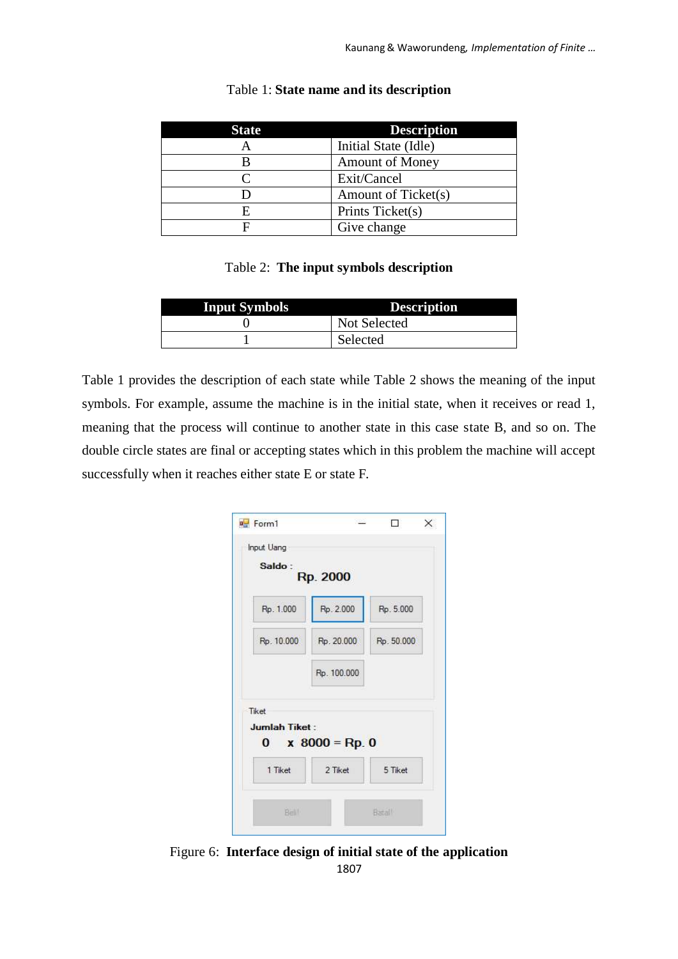| <b>State</b> | <b>Description</b>     |
|--------------|------------------------|
|              | Initial State (Idle)   |
|              | <b>Amount of Money</b> |
|              | Exit/Cancel            |
|              | Amount of Ticket(s)    |
|              | Prints Ticket(s)       |
|              | Give change            |

#### Table 1: **State name and its description**

#### Table 2: **The input symbols description**

| <b>Input Symbols</b> | <b>Description</b> |
|----------------------|--------------------|
|                      | Not Selected       |
|                      | Selected           |

Table 1 provides the description of each state while Table 2 shows the meaning of the input symbols. For example, assume the machine is in the initial state, when it receives or read 1, meaning that the process will continue to another state in this case state B, and so on. The double circle states are final or accepting states which in this problem the machine will accept successfully when it reaches either state E or state F.

| Saldo:     | Rp. 2000    |            |
|------------|-------------|------------|
| Rp. 1.000  | Rp. 2.000   | Rp. 5.000  |
| Rp. 10.000 | Rp. 20.000  | Rp. 50.000 |
|            | Rp. 100.000 |            |
|            |             |            |

1807 Figure 6: **Interface design of initial state of the application**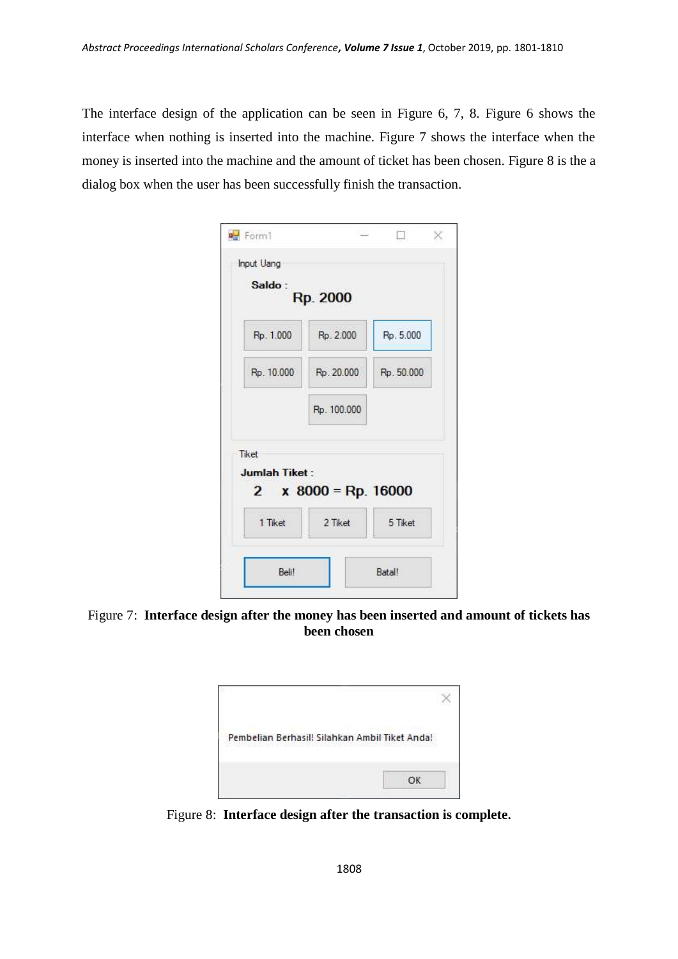The interface design of the application can be seen in Figure 6, 7, 8. Figure 6 shows the interface when nothing is inserted into the machine. Figure 7 shows the interface when the money is inserted into the machine and the amount of ticket has been chosen. Figure 8 is the a dialog box when the user has been successfully finish the transaction.

| Saldo:        | Rp. 2000                    |            |
|---------------|-----------------------------|------------|
| Rp. 1.000     | Rp. 2.000                   | Rp. 5.000  |
| Rp. 10.000    | Rp. 20.000                  | Rp. 50.000 |
|               |                             |            |
| Tiket         | Rp. 100.000                 |            |
| Jumlah Tiket: | 2 $\times$ 8000 = Rp. 16000 |            |

Figure 7: **Interface design after the money has been inserted and amount of tickets has been chosen**

| Pembelian Berhasil! Silahkan Ambil Tiket Anda! |  |
|------------------------------------------------|--|
|                                                |  |

Figure 8: **Interface design after the transaction is complete.**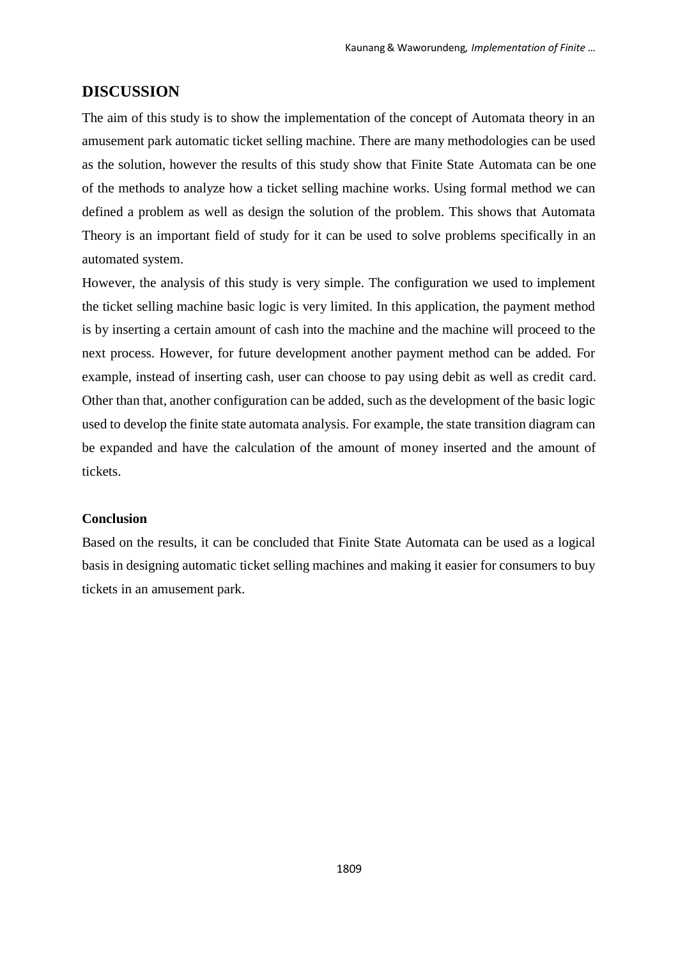#### **DISCUSSION**

The aim of this study is to show the implementation of the concept of Automata theory in an amusement park automatic ticket selling machine. There are many methodologies can be used as the solution, however the results of this study show that Finite State Automata can be one of the methods to analyze how a ticket selling machine works. Using formal method we can defined a problem as well as design the solution of the problem. This shows that Automata Theory is an important field of study for it can be used to solve problems specifically in an automated system.

However, the analysis of this study is very simple. The configuration we used to implement the ticket selling machine basic logic is very limited. In this application, the payment method is by inserting a certain amount of cash into the machine and the machine will proceed to the next process. However, for future development another payment method can be added. For example, instead of inserting cash, user can choose to pay using debit as well as credit card. Other than that, another configuration can be added, such as the development of the basic logic used to develop the finite state automata analysis. For example, the state transition diagram can be expanded and have the calculation of the amount of money inserted and the amount of tickets.

#### **Conclusion**

Based on the results, it can be concluded that Finite State Automata can be used as a logical basis in designing automatic ticket selling machines and making it easier for consumers to buy tickets in an amusement park.